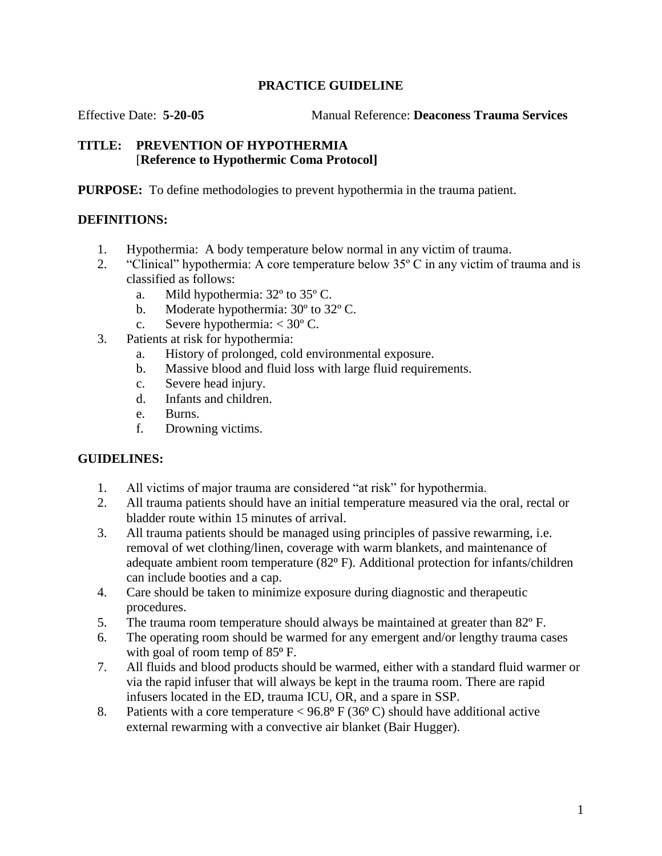## **PRACTICE GUIDELINE**

Effective Date: **5-20-05** Manual Reference: **Deaconess Trauma Services**

## **TITLE: PREVENTION OF HYPOTHERMIA** [**Reference to Hypothermic Coma Protocol]**

**PURPOSE:** To define methodologies to prevent hypothermia in the trauma patient.

# **DEFINITIONS:**

- 1. Hypothermia: A body temperature below normal in any victim of trauma.
- 2. "Clinical" hypothermia: A core temperature below  $35^{\circ}$  C in any victim of trauma and is classified as follows:
	- a. Mild hypothermia: 32º to 35º C.
	- b. Moderate hypothermia: 30º to 32º C.
	- c. Severe hypothermia:  $<$  30 $^{\circ}$  C.
- 3. Patients at risk for hypothermia:
	- a. History of prolonged, cold environmental exposure.
	- b. Massive blood and fluid loss with large fluid requirements.
	- c. Severe head injury.
	- d. Infants and children.
	- e. Burns.
	- f. Drowning victims.

## **GUIDELINES:**

- 1. All victims of major trauma are considered "at risk" for hypothermia.
- 2. All trauma patients should have an initial temperature measured via the oral, rectal or bladder route within 15 minutes of arrival.
- 3. All trauma patients should be managed using principles of passive rewarming, i.e. removal of wet clothing/linen, coverage with warm blankets, and maintenance of adequate ambient room temperature (82<sup>o</sup> F). Additional protection for infants/children can include booties and a cap.
- 4. Care should be taken to minimize exposure during diagnostic and therapeutic procedures.
- 5. The trauma room temperature should always be maintained at greater than 82º F.
- 6. The operating room should be warmed for any emergent and/or lengthy trauma cases with goal of room temp of  $85^{\circ}$  F.
- 7. All fluids and blood products should be warmed, either with a standard fluid warmer or via the rapid infuser that will always be kept in the trauma room. There are rapid infusers located in the ED, trauma ICU, OR, and a spare in SSP.
- 8. Patients with a core temperature  $<$  96.8 $\degree$  F (36 $\degree$ C) should have additional active external rewarming with a convective air blanket (Bair Hugger).